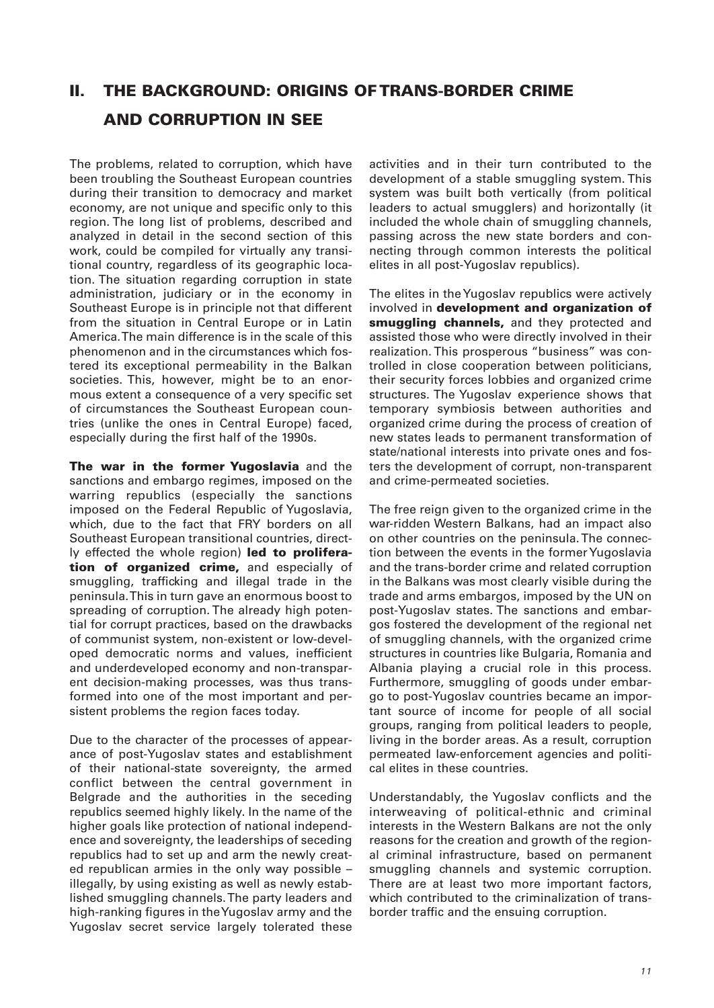# **II. THE BACKGROUND: ORIGINS OF TRANS-BORDER CRIME AND CORRUPTION IN SEE**

The problems, related to corruption, which have been troubling the Southeast European countries during their transition to democracy and market economy, are not unique and specific only to this region. The long list of problems, described and analyzed in detail in the second section of this work, could be compiled for virtually any transitional country, regardless of its geographic location. The situation regarding corruption in state administration, judiciary or in the economy in Southeast Europe is in principle not that different from the situation in Central Europe or in Latin America. The main difference is in the scale of this phenomenon and in the circumstances which fostered its exceptional permeability in the Balkan societies. This, however, might be to an enormous extent a consequence of a very specific set of circumstances the Southeast European countries (unlike the ones in Central Europe) faced, especially during the first half of the 1990s.

**The war in the former Yugoslavia** and the sanctions and embargo regimes, imposed on the warring republics (especially the sanctions imposed on the Federal Republic of Yugoslavia, which, due to the fact that FRY borders on all Southeast European transitional countries, directly effected the whole region) **led to proliferation of organized crime,** and especially of smuggling, trafficking and illegal trade in the peninsula. This in turn gave an enormous boost to spreading of corruption. The already high potential for corrupt practices, based on the drawbacks of communist system, non-existent or low-developed democratic norms and values, inefficient and underdeveloped economy and non-transparent decision-making processes, was thus transformed into one of the most important and persistent problems the region faces today.

Due to the character of the processes of appearance of post-Yugoslav states and establishment of their national-state sovereignty, the armed conflict between the central government in Belgrade and the authorities in the seceding republics seemed highly likely. In the name of the higher goals like protection of national independence and sovereignty, the leaderships of seceding republics had to set up and arm the newly created republican armies in the only way possible – illegally, by using existing as well as newly established smuggling channels. The party leaders and high-ranking figures in the Yugoslav army and the Yugoslav secret service largely tolerated these activities and in their turn contributed to the development of a stable smuggling system. This system was built both vertically (from political leaders to actual smugglers) and horizontally (it included the whole chain of smuggling channels, passing across the new state borders and connecting through common interests the political elites in all post-Yugoslav republics).

The elites in the Yugoslav republics were actively involved in **development and organization of smuggling channels,** and they protected and assisted those who were directly involved in their realization. This prosperous "business" was controlled in close cooperation between politicians, their security forces lobbies and organized crime structures. The Yugoslav experience shows that temporary symbiosis between authorities and organized crime during the process of creation of new states leads to permanent transformation of state/national interests into private ones and fosters the development of corrupt, non-transparent and crime-permeated societies.

The free reign given to the organized crime in the war-ridden Western Balkans, had an impact also on other countries on the peninsula. The connection between the events in the former Yugoslavia and the trans-border crime and related corruption in the Balkans was most clearly visible during the trade and arms embargos, imposed by the UN on post-Yugoslav states. The sanctions and embargos fostered the development of the regional net of smuggling channels, with the organized crime structures in countries like Bulgaria, Romania and Albania playing a crucial role in this process. Furthermore, smuggling of goods under embargo to post-Yugoslav countries became an important source of income for people of all social groups, ranging from political leaders to people, living in the border areas. As a result, corruption permeated law-enforcement agencies and political elites in these countries.

Understandably, the Yugoslav conflicts and the interweaving of political-ethnic and criminal interests in the Western Balkans are not the only reasons for the creation and growth of the regional criminal infrastructure, based on permanent smuggling channels and systemic corruption. There are at least two more important factors, which contributed to the criminalization of transborder traffic and the ensuing corruption.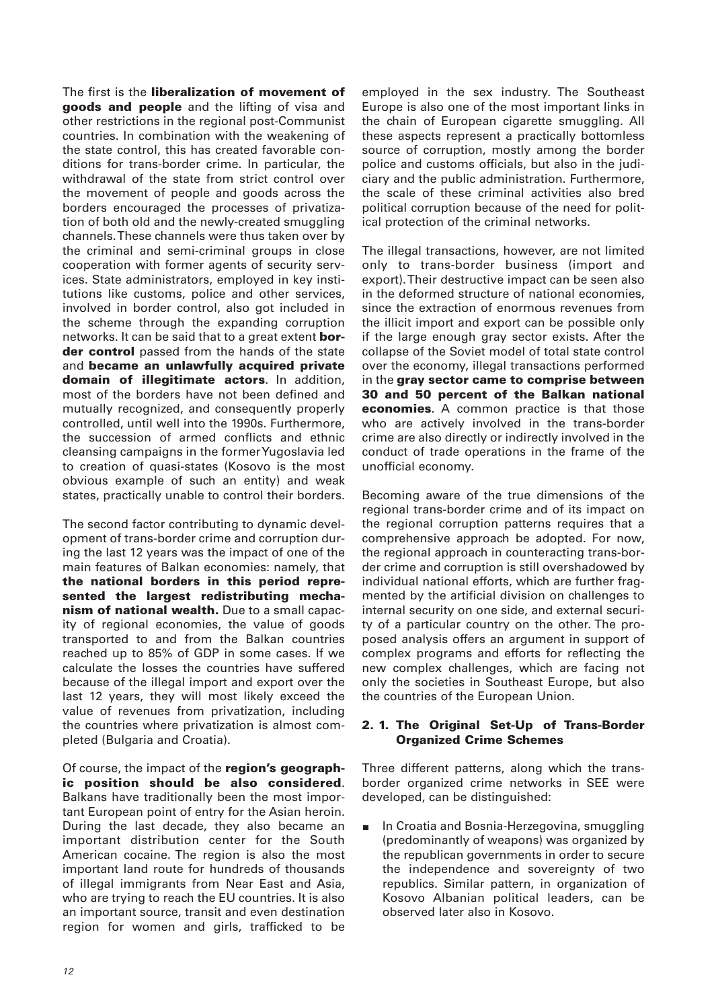The first is the **liberalization of movement of goods and people** and the lifting of visa and other restrictions in the regional post-Communist countries. In combination with the weakening of the state control, this has created favorable conditions for trans-border crime. In particular, the withdrawal of the state from strict control over the movement of people and goods across the borders encouraged the processes of privatization of both old and the newly-created smuggling channels. These channels were thus taken over by the criminal and semi-criminal groups in close cooperation with former agents of security services. State administrators, employed in key institutions like customs, police and other services, involved in border control, also got included in the scheme through the expanding corruption networks. It can be said that to a great extent **border control** passed from the hands of the state and **became an unlawfully acquired private domain of illegitimate actors**. In addition, most of the borders have not been defined and mutually recognized, and consequently properly controlled, until well into the 1990s. Furthermore, the succession of armed conflicts and ethnic cleansing campaigns in the former Yugoslavia led to creation of quasi-states (Kosovo is the most obvious example of such an entity) and weak states, practically unable to control their borders.

The second factor contributing to dynamic development of trans-border crime and corruption during the last 12 years was the impact of one of the main features of Balkan economies: namely, that **the national borders in this period represented the largest redistributing mechanism of national wealth.** Due to a small capacity of regional economies, the value of goods transported to and from the Balkan countries reached up to 85% of GDP in some cases. If we calculate the losses the countries have suffered because of the illegal import and export over the last 12 years, they will most likely exceed the value of revenues from privatization, including the countries where privatization is almost completed (Bulgaria and Croatia).

Of course, the impact of the **region's geographic position should be also considered**. Balkans have traditionally been the most important European point of entry for the Asian heroin. During the last decade, they also became an important distribution center for the South American cocaine. The region is also the most important land route for hundreds of thousands of illegal immigrants from Near East and Asia, who are trying to reach the EU countries. It is also an important source, transit and even destination region for women and girls, trafficked to be

employed in the sex industry. The Southeast Europe is also one of the most important links in the chain of European cigarette smuggling. All these aspects represent a practically bottomless source of corruption, mostly among the border police and customs officials, but also in the judiciary and the public administration. Furthermore, the scale of these criminal activities also bred political corruption because of the need for political protection of the criminal networks.

The illegal transactions, however, are not limited only to trans-border business (import and export). Their destructive impact can be seen also in the deformed structure of national economies, since the extraction of enormous revenues from the illicit import and export can be possible only if the large enough gray sector exists. After the collapse of the Soviet model of total state control over the economy, illegal transactions performed in the **gray sector came to comprise between 30 and 50 percent of the Balkan national economies**. A common practice is that those who are actively involved in the trans-border crime are also directly or indirectly involved in the conduct of trade operations in the frame of the unofficial economy.

Becoming aware of the true dimensions of the regional trans-border crime and of its impact on the regional corruption patterns requires that a comprehensive approach be adopted. For now, the regional approach in counteracting trans-border crime and corruption is still overshadowed by individual national efforts, which are further fragmented by the artificial division on challenges to internal security on one side, and external security of a particular country on the other. The proposed analysis offers an argument in support of complex programs and efforts for reflecting the new complex challenges, which are facing not only the societies in Southeast Europe, but also the countries of the European Union.

# **2. 1. The Original Set-Up of Trans-Border Organized Crime Schemes**

Three different patterns, along which the transborder organized crime networks in SEE were developed, can be distinguished:

In Croatia and Bosnia-Herzegovina, smuggling  $\blacksquare$ (predominantly of weapons) was organized by the republican governments in order to secure the independence and sovereignty of two republics. Similar pattern, in organization of Kosovo Albanian political leaders, can be observed later also in Kosovo.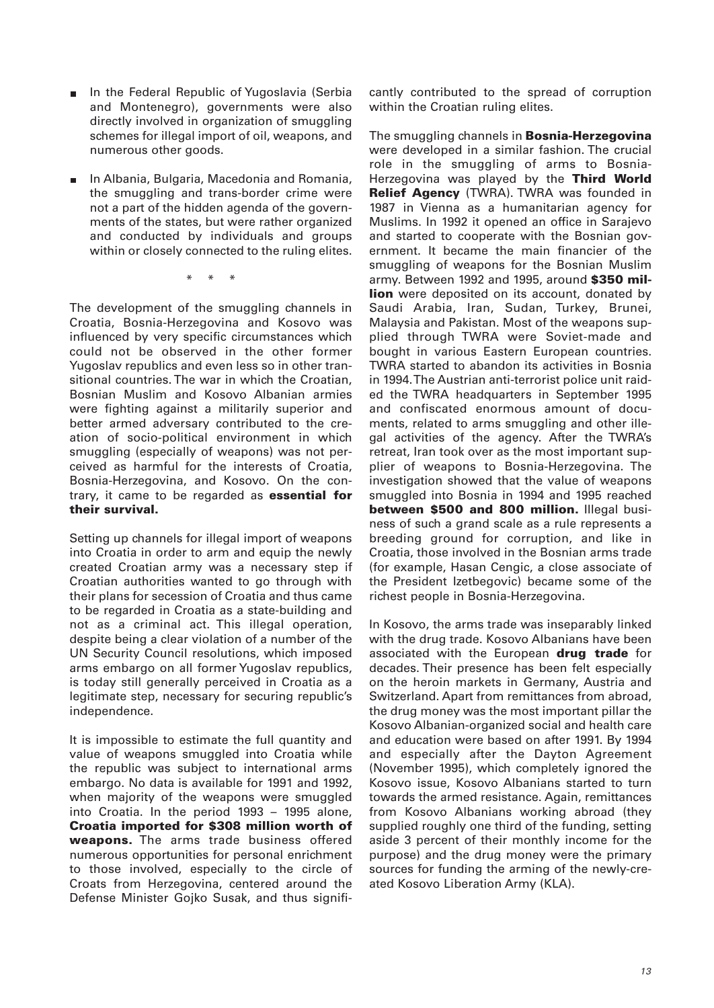- In the Federal Republic of Yugoslavia (Serbia and Montenegro), governments were also directly involved in organization of smuggling schemes for illegal import of oil, weapons, and numerous other goods.
- In Albania, Bulgaria, Macedonia and Romania,  $\blacksquare$ the smuggling and trans-border crime were not a part of the hidden agenda of the governments of the states, but were rather organized and conducted by individuals and groups within or closely connected to the ruling elites.

\* \* \*

The development of the smuggling channels in Croatia, Bosnia-Herzegovina and Kosovo was influenced by very specific circumstances which could not be observed in the other former Yugoslav republics and even less so in other transitional countries. The war in which the Croatian, Bosnian Muslim and Kosovo Albanian armies were fighting against a militarily superior and better armed adversary contributed to the creation of socio-political environment in which smuggling (especially of weapons) was not perceived as harmful for the interests of Croatia, Bosnia-Herzegovina, and Kosovo. On the contrary, it came to be regarded as **essential for their survival.**

Setting up channels for illegal import of weapons into Croatia in order to arm and equip the newly created Croatian army was a necessary step if Croatian authorities wanted to go through with their plans for secession of Croatia and thus came to be regarded in Croatia as a state-building and not as a criminal act. This illegal operation, despite being a clear violation of a number of the UN Security Council resolutions, which imposed arms embargo on all former Yugoslav republics, is today still generally perceived in Croatia as a legitimate step, necessary for securing republic's independence.

It is impossible to estimate the full quantity and value of weapons smuggled into Croatia while the republic was subject to international arms embargo. No data is available for 1991 and 1992, when majority of the weapons were smuggled into Croatia. In the period 1993 – 1995 alone, **Croatia imported for \$308 million worth of weapons.** The arms trade business offered numerous opportunities for personal enrichment to those involved, especially to the circle of Croats from Herzegovina, centered around the Defense Minister Gojko Susak, and thus significantly contributed to the spread of corruption within the Croatian ruling elites.

The smuggling channels in **Bosnia-Herzegovina** were developed in a similar fashion. The crucial role in the smuggling of arms to Bosnia-Herzegovina was played by the **Third World Relief Agency** (TWRA). TWRA was founded in 1987 in Vienna as a humanitarian agency for Muslims. In 1992 it opened an office in Sarajevo and started to cooperate with the Bosnian government. It became the main financier of the smuggling of weapons for the Bosnian Muslim army. Between 1992 and 1995, around **\$350 million** were deposited on its account, donated by Saudi Arabia, Iran, Sudan, Turkey, Brunei, Malaysia and Pakistan. Most of the weapons supplied through TWRA were Soviet-made and bought in various Eastern European countries. TWRA started to abandon its activities in Bosnia in 1994. The Austrian anti-terrorist police unit raided the TWRA headquarters in September 1995 and confiscated enormous amount of documents, related to arms smuggling and other illegal activities of the agency. After the TWRA's retreat, Iran took over as the most important supplier of weapons to Bosnia-Herzegovina. The investigation showed that the value of weapons smuggled into Bosnia in 1994 and 1995 reached **between \$500 and 800 million.** Illegal business of such a grand scale as a rule represents a breeding ground for corruption, and like in Croatia, those involved in the Bosnian arms trade (for example, Hasan Cengic, a close associate of the President Izetbegovic) became some of the richest people in Bosnia-Herzegovina.

In Kosovo, the arms trade was inseparably linked with the drug trade. Kosovo Albanians have been associated with the European **drug trade** for decades. Their presence has been felt especially on the heroin markets in Germany, Austria and Switzerland. Apart from remittances from abroad, the drug money was the most important pillar the Kosovo Albanian-organized social and health care and education were based on after 1991. By 1994 and especially after the Dayton Agreement (November 1995), which completely ignored the Kosovo issue, Kosovo Albanians started to turn towards the armed resistance. Again, remittances from Kosovo Albanians working abroad (they supplied roughly one third of the funding, setting aside 3 percent of their monthly income for the purpose) and the drug money were the primary sources for funding the arming of the newly-created Kosovo Liberation Army (KLA).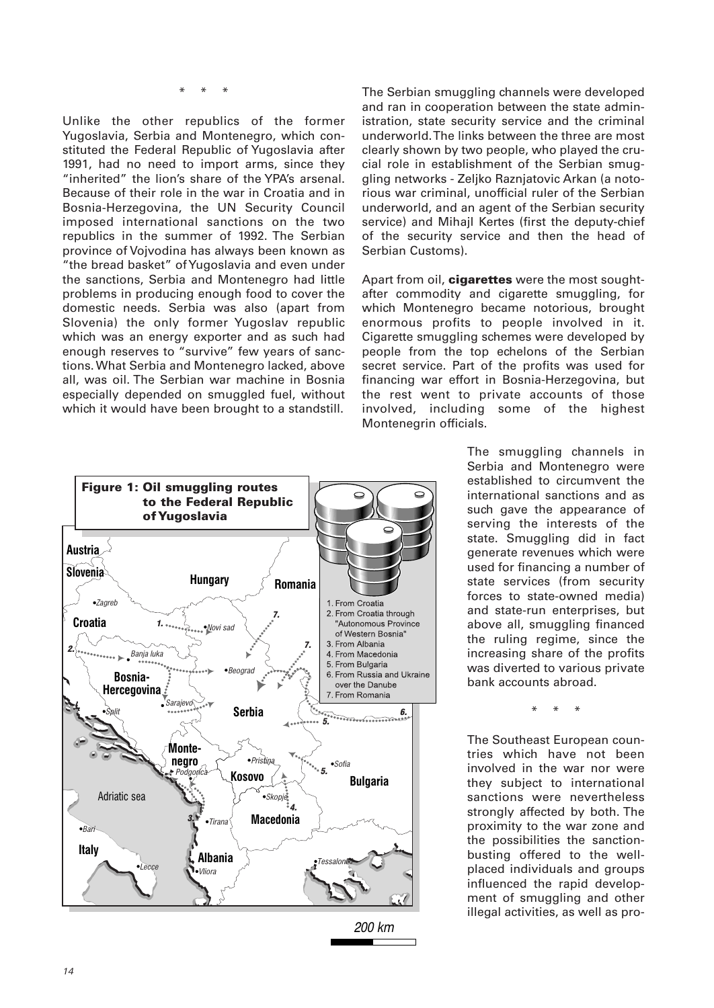\* \* \*

Unlike the other republics of the former Yugoslavia, Serbia and Montenegro, which constituted the Federal Republic of Yugoslavia after 1991, had no need to import arms, since they "inherited" the lion's share of the YPA's arsenal. Because of their role in the war in Croatia and in Bosnia-Herzegovina, the UN Security Council imposed international sanctions on the two republics in the summer of 1992. The Serbian province of Vojvodina has always been known as "the bread basket" of Yugoslavia and even under the sanctions, Serbia and Montenegro had little problems in producing enough food to cover the domestic needs. Serbia was also (apart from Slovenia) the only former Yugoslav republic which was an energy exporter and as such had enough reserves to "survive" few years of sanctions. What Serbia and Montenegro lacked, above all, was oil. The Serbian war machine in Bosnia especially depended on smuggled fuel, without which it would have been brought to a standstill.



The Serbian smuggling channels were developed and ran in cooperation between the state administration, state security service and the criminal underworld. The links between the three are most clearly shown by two people, who played the crucial role in establishment of the Serbian smuggling networks - Zeljko Raznjatovic Arkan (a notorious war criminal, unofficial ruler of the Serbian underworld, and an agent of the Serbian security service) and Mihajl Kertes (first the deputy-chief of the security service and then the head of Serbian Customs).

Apart from oil, **cigarettes** were the most soughtafter commodity and cigarette smuggling, for which Montenegro became notorious, brought enormous profits to people involved in it. Cigarette smuggling schemes were developed by people from the top echelons of the Serbian secret service. Part of the profits was used for financing war effort in Bosnia-Herzegovina, but the rest went to private accounts of those involved, including some of the highest Montenegrin officials.

> The smuggling channels in Serbia and Montenegro were established to circumvent the international sanctions and as such gave the appearance of serving the interests of the state. Smuggling did in fact generate revenues which were used for financing a number of state services (from security forces to state-owned media) and state-run enterprises, but above all, smuggling financed the ruling regime, since the increasing share of the profits was diverted to various private bank accounts abroad.

> > \* \* \*

The Southeast European countries which have not been involved in the war nor were they subject to international sanctions were nevertheless strongly affected by both. The proximity to the war zone and the possibilities the sanctionbusting offered to the wellplaced individuals and groups influenced the rapid development of smuggling and other illegal activities, as well as pro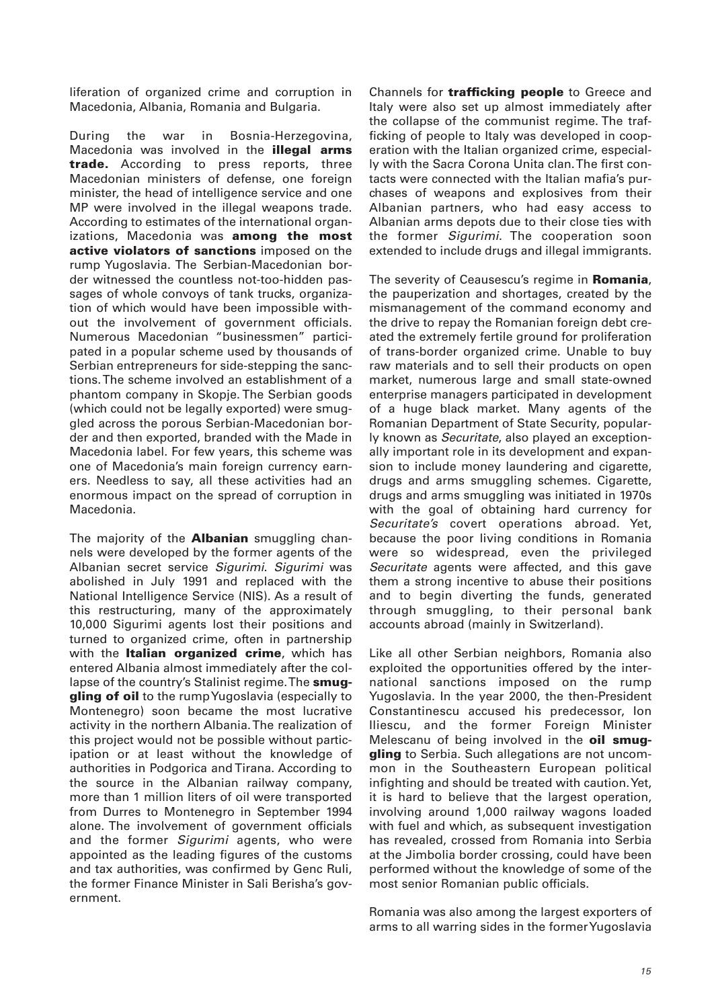liferation of organized crime and corruption in Macedonia, Albania, Romania and Bulgaria.

During the war in Bosnia-Herzegovina, Macedonia was involved in the **illegal arms trade.** According to press reports, three Macedonian ministers of defense, one foreign minister, the head of intelligence service and one MP were involved in the illegal weapons trade. According to estimates of the international organizations, Macedonia was **among the most active violators of sanctions** imposed on the rump Yugoslavia. The Serbian-Macedonian border witnessed the countless not-too-hidden passages of whole convoys of tank trucks, organization of which would have been impossible without the involvement of government officials. Numerous Macedonian "businessmen" participated in a popular scheme used by thousands of Serbian entrepreneurs for side-stepping the sanctions. The scheme involved an establishment of a phantom company in Skopje. The Serbian goods (which could not be legally exported) were smuggled across the porous Serbian-Macedonian border and then exported, branded with the Made in Macedonia label. For few years, this scheme was one of Macedonia's main foreign currency earners. Needless to say, all these activities had an enormous impact on the spread of corruption in Macedonia.

The majority of the **Albanian** smuggling channels were developed by the former agents of the Albanian secret service Sigurimi. Sigurimi was abolished in July 1991 and replaced with the National Intelligence Service (NIS). As a result of this restructuring, many of the approximately 10,000 Sigurimi agents lost their positions and turned to organized crime, often in partnership with the **Italian organized crime**, which has entered Albania almost immediately after the collapse of the country's Stalinist regime. The **smuggling of oil** to the rump Yugoslavia (especially to Montenegro) soon became the most lucrative activity in the northern Albania. The realization of this project would not be possible without participation or at least without the knowledge of authorities in Podgorica and Tirana. According to the source in the Albanian railway company, more than 1 million liters of oil were transported from Durres to Montenegro in September 1994 alone. The involvement of government officials and the former Sigurimi agents, who were appointed as the leading figures of the customs and tax authorities, was confirmed by Genc Ruli, the former Finance Minister in Sali Berisha's government.

Channels for **trafficking people** to Greece and Italy were also set up almost immediately after the collapse of the communist regime. The trafficking of people to Italy was developed in cooperation with the Italian organized crime, especially with the Sacra Corona Unita clan. The first contacts were connected with the Italian mafia's purchases of weapons and explosives from their Albanian partners, who had easy access to Albanian arms depots due to their close ties with the former Sigurimi. The cooperation soon extended to include drugs and illegal immigrants.

The severity of Ceausescu's regime in **Romania**, the pauperization and shortages, created by the mismanagement of the command economy and the drive to repay the Romanian foreign debt created the extremely fertile ground for proliferation of trans-border organized crime. Unable to buy raw materials and to sell their products on open market, numerous large and small state-owned enterprise managers participated in development of a huge black market. Many agents of the Romanian Department of State Security, popularly known as Securitate, also played an exceptionally important role in its development and expansion to include money laundering and cigarette, drugs and arms smuggling schemes. Cigarette, drugs and arms smuggling was initiated in 1970s with the goal of obtaining hard currency for Securitate's covert operations abroad. Yet, because the poor living conditions in Romania were so widespread, even the privileged Securitate agents were affected, and this gave them a strong incentive to abuse their positions and to begin diverting the funds, generated through smuggling, to their personal bank accounts abroad (mainly in Switzerland).

Like all other Serbian neighbors, Romania also exploited the opportunities offered by the international sanctions imposed on the rump Yugoslavia. In the year 2000, the then-President Constantinescu accused his predecessor, Ion Iliescu, and the former Foreign Minister Melescanu of being involved in the **oil smuggling** to Serbia. Such allegations are not uncommon in the Southeastern European political infighting and should be treated with caution. Yet, it is hard to believe that the largest operation, involving around 1,000 railway wagons loaded with fuel and which, as subsequent investigation has revealed, crossed from Romania into Serbia at the Jimbolia border crossing, could have been performed without the knowledge of some of the most senior Romanian public officials.

Romania was also among the largest exporters of arms to all warring sides in the former Yugoslavia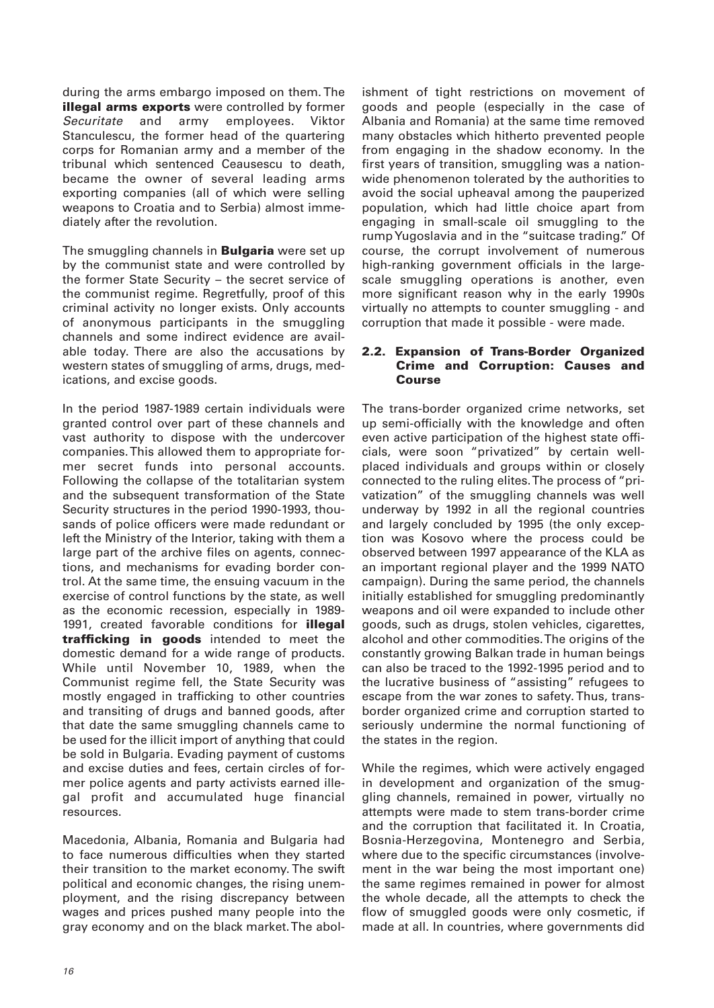during the arms embargo imposed on them. The **illegal arms exports** were controlled by former Securitate and army employees. Viktor Stanculescu, the former head of the quartering corps for Romanian army and a member of the tribunal which sentenced Ceausescu to death, became the owner of several leading arms exporting companies (all of which were selling weapons to Croatia and to Serbia) almost immediately after the revolution.

The smuggling channels in **Bulgaria** were set up by the communist state and were controlled by the former State Security – the secret service of the communist regime. Regretfully, proof of this criminal activity no longer exists. Only accounts of anonymous participants in the smuggling channels and some indirect evidence are available today. There are also the accusations by western states of smuggling of arms, drugs, medications, and excise goods.

In the period 1987-1989 certain individuals were granted control over part of these channels and vast authority to dispose with the undercover companies. This allowed them to appropriate former secret funds into personal accounts. Following the collapse of the totalitarian system and the subsequent transformation of the State Security structures in the period 1990-1993, thousands of police officers were made redundant or left the Ministry of the Interior, taking with them a large part of the archive files on agents, connections, and mechanisms for evading border control. At the same time, the ensuing vacuum in the exercise of control functions by the state, as well as the economic recession, especially in 1989- 1991, created favorable conditions for **illegal trafficking in goods** intended to meet the domestic demand for a wide range of products. While until November 10, 1989, when the Communist regime fell, the State Security was mostly engaged in trafficking to other countries and transiting of drugs and banned goods, after that date the same smuggling channels came to be used for the illicit import of anything that could be sold in Bulgaria. Evading payment of customs and excise duties and fees, certain circles of former police agents and party activists earned illegal profit and accumulated huge financial resources.

Macedonia, Albania, Romania and Bulgaria had to face numerous difficulties when they started their transition to the market economy. The swift political and economic changes, the rising unemployment, and the rising discrepancy between wages and prices pushed many people into the gray economy and on the black market. The abolishment of tight restrictions on movement of goods and people (especially in the case of Albania and Romania) at the same time removed many obstacles which hitherto prevented people from engaging in the shadow economy. In the first years of transition, smuggling was a nationwide phenomenon tolerated by the authorities to avoid the social upheaval among the pauperized population, which had little choice apart from engaging in small-scale oil smuggling to the rump Yugoslavia and in the "suitcase trading." Of course, the corrupt involvement of numerous high-ranking government officials in the largescale smuggling operations is another, even more significant reason why in the early 1990s virtually no attempts to counter smuggling - and corruption that made it possible - were made.

## **2.2. Expansion of Trans-Border Organized Crime and Corruption: Causes and Course**

The trans-border organized crime networks, set up semi-officially with the knowledge and often even active participation of the highest state officials, were soon "privatized" by certain wellplaced individuals and groups within or closely connected to the ruling elites. The process of "privatization" of the smuggling channels was well underway by 1992 in all the regional countries and largely concluded by 1995 (the only exception was Kosovo where the process could be observed between 1997 appearance of the KLA as an important regional player and the 1999 NATO campaign). During the same period, the channels initially established for smuggling predominantly weapons and oil were expanded to include other goods, such as drugs, stolen vehicles, cigarettes, alcohol and other commodities. The origins of the constantly growing Balkan trade in human beings can also be traced to the 1992-1995 period and to the lucrative business of "assisting" refugees to escape from the war zones to safety. Thus, transborder organized crime and corruption started to seriously undermine the normal functioning of the states in the region.

While the regimes, which were actively engaged in development and organization of the smuggling channels, remained in power, virtually no attempts were made to stem trans-border crime and the corruption that facilitated it. In Croatia, Bosnia-Herzegovina, Montenegro and Serbia, where due to the specific circumstances (involvement in the war being the most important one) the same regimes remained in power for almost the whole decade, all the attempts to check the flow of smuggled goods were only cosmetic, if made at all. In countries, where governments did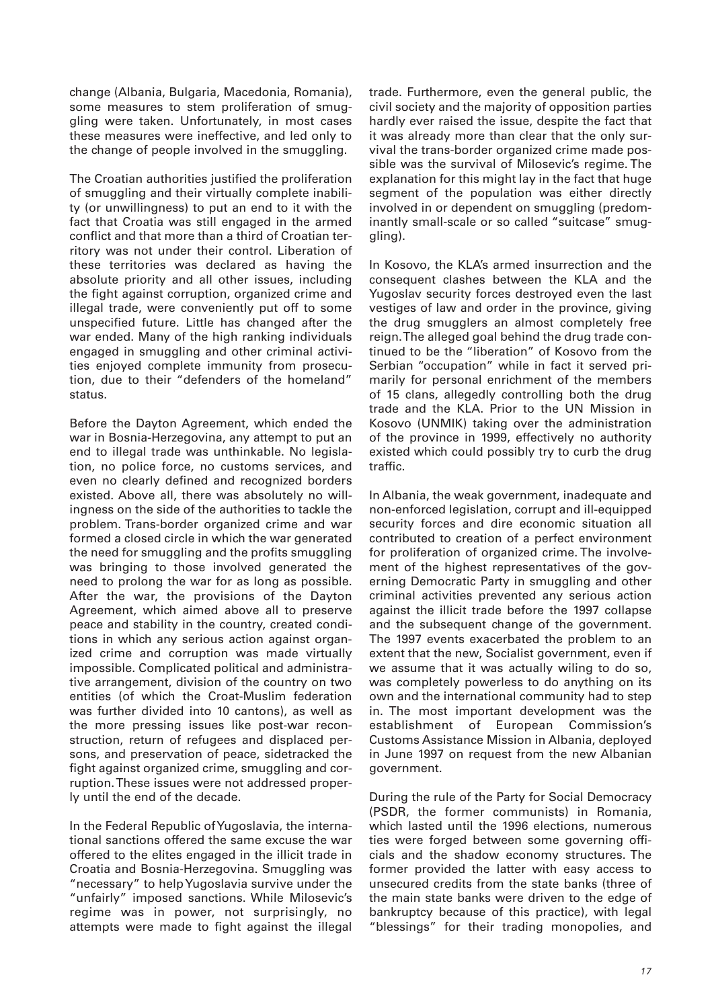change (Albania, Bulgaria, Macedonia, Romania), some measures to stem proliferation of smuggling were taken. Unfortunately, in most cases these measures were ineffective, and led only to the change of people involved in the smuggling.

The Croatian authorities justified the proliferation of smuggling and their virtually complete inability (or unwillingness) to put an end to it with the fact that Croatia was still engaged in the armed conflict and that more than a third of Croatian territory was not under their control. Liberation of these territories was declared as having the absolute priority and all other issues, including the fight against corruption, organized crime and illegal trade, were conveniently put off to some unspecified future. Little has changed after the war ended. Many of the high ranking individuals engaged in smuggling and other criminal activities enjoyed complete immunity from prosecution, due to their "defenders of the homeland" status.

Before the Dayton Agreement, which ended the war in Bosnia-Herzegovina, any attempt to put an end to illegal trade was unthinkable. No legislation, no police force, no customs services, and even no clearly defined and recognized borders existed. Above all, there was absolutely no willingness on the side of the authorities to tackle the problem. Trans-border organized crime and war formed a closed circle in which the war generated the need for smuggling and the profits smuggling was bringing to those involved generated the need to prolong the war for as long as possible. After the war, the provisions of the Dayton Agreement, which aimed above all to preserve peace and stability in the country, created conditions in which any serious action against organized crime and corruption was made virtually impossible. Complicated political and administrative arrangement, division of the country on two entities (of which the Croat-Muslim federation was further divided into 10 cantons), as well as the more pressing issues like post-war reconstruction, return of refugees and displaced persons, and preservation of peace, sidetracked the fight against organized crime, smuggling and corruption. These issues were not addressed properly until the end of the decade.

In the Federal Republic of Yugoslavia, the international sanctions offered the same excuse the war offered to the elites engaged in the illicit trade in Croatia and Bosnia-Herzegovina. Smuggling was "necessary" to help Yugoslavia survive under the "unfairly" imposed sanctions. While Milosevic's regime was in power, not surprisingly, no attempts were made to fight against the illegal trade. Furthermore, even the general public, the civil society and the majority of opposition parties hardly ever raised the issue, despite the fact that it was already more than clear that the only survival the trans-border organized crime made possible was the survival of Milosevic's regime. The explanation for this might lay in the fact that huge segment of the population was either directly involved in or dependent on smuggling (predominantly small-scale or so called "suitcase" smuggling).

In Kosovo, the KLA's armed insurrection and the consequent clashes between the KLA and the Yugoslav security forces destroyed even the last vestiges of law and order in the province, giving the drug smugglers an almost completely free reign. The alleged goal behind the drug trade continued to be the "liberation" of Kosovo from the Serbian "occupation" while in fact it served primarily for personal enrichment of the members of 15 clans, allegedly controlling both the drug trade and the KLA. Prior to the UN Mission in Kosovo (UNMIK) taking over the administration of the province in 1999, effectively no authority existed which could possibly try to curb the drug traffic.

In Albania, the weak government, inadequate and non-enforced legislation, corrupt and ill-equipped security forces and dire economic situation all contributed to creation of a perfect environment for proliferation of organized crime. The involvement of the highest representatives of the governing Democratic Party in smuggling and other criminal activities prevented any serious action against the illicit trade before the 1997 collapse and the subsequent change of the government. The 1997 events exacerbated the problem to an extent that the new, Socialist government, even if we assume that it was actually wiling to do so, was completely powerless to do anything on its own and the international community had to step in. The most important development was the establishment of European Commission's Customs Assistance Mission in Albania, deployed in June 1997 on request from the new Albanian government.

During the rule of the Party for Social Democracy (PSDR, the former communists) in Romania, which lasted until the 1996 elections, numerous ties were forged between some governing officials and the shadow economy structures. The former provided the latter with easy access to unsecured credits from the state banks (three of the main state banks were driven to the edge of bankruptcy because of this practice), with legal "blessings" for their trading monopolies, and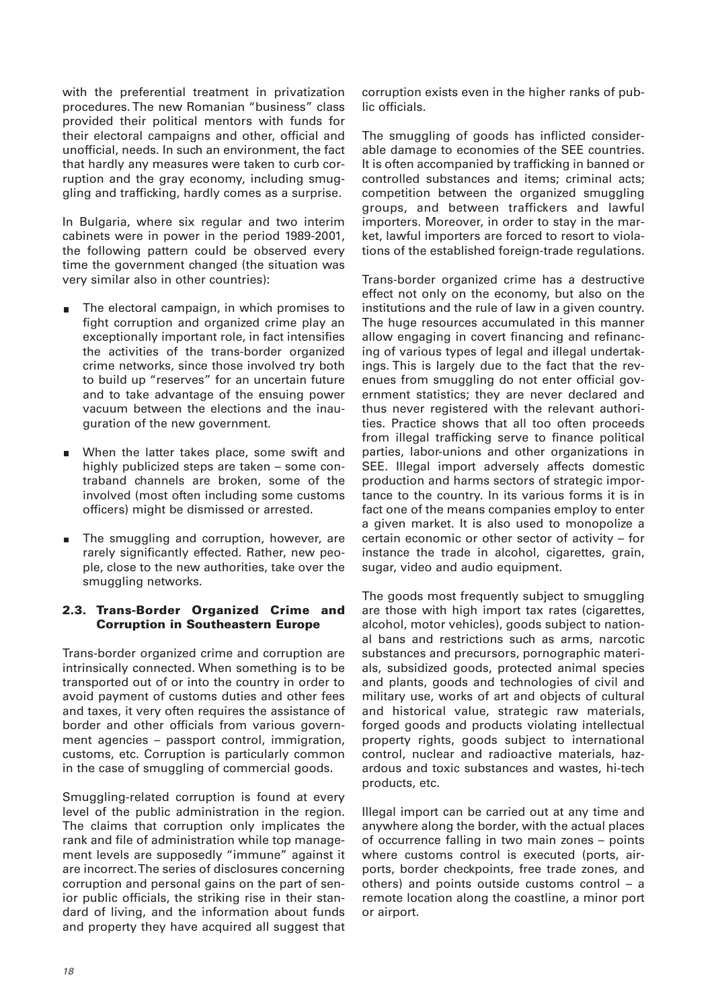with the preferential treatment in privatization procedures. The new Romanian "business" class provided their political mentors with funds for their electoral campaigns and other, official and unofficial, needs. In such an environment, the fact that hardly any measures were taken to curb corruption and the gray economy, including smuggling and trafficking, hardly comes as a surprise.

In Bulgaria, where six regular and two interim cabinets were in power in the period 1989-2001, the following pattern could be observed every time the government changed (the situation was very similar also in other countries):

- The electoral campaign, in which promises to fight corruption and organized crime play an exceptionally important role, in fact intensifies the activities of the trans-border organized crime networks, since those involved try both to build up "reserves" for an uncertain future and to take advantage of the ensuing power vacuum between the elections and the inauguration of the new government.
- When the latter takes place, some swift and highly publicized steps are taken – some contraband channels are broken, some of the involved (most often including some customs officers) might be dismissed or arrested.
- The smuggling and corruption, however, are rarely significantly effected. Rather, new people, close to the new authorities, take over the smuggling networks.

# **2.3. Trans-Border Organized Crime and Corruption in Southeastern Europe**

Trans-border organized crime and corruption are intrinsically connected. When something is to be transported out of or into the country in order to avoid payment of customs duties and other fees and taxes, it very often requires the assistance of border and other officials from various government agencies – passport control, immigration, customs, etc. Corruption is particularly common in the case of smuggling of commercial goods.

Smuggling-related corruption is found at every level of the public administration in the region. The claims that corruption only implicates the rank and file of administration while top management levels are supposedly "immune" against it are incorrect. The series of disclosures concerning corruption and personal gains on the part of senior public officials, the striking rise in their standard of living, and the information about funds and property they have acquired all suggest that

corruption exists even in the higher ranks of public officials.

The smuggling of goods has inflicted considerable damage to economies of the SEE countries. It is often accompanied by trafficking in banned or controlled substances and items; criminal acts; competition between the organized smuggling groups, and between traffickers and lawful importers. Moreover, in order to stay in the market, lawful importers are forced to resort to violations of the established foreign-trade regulations.

Trans-border organized crime has a destructive effect not only on the economy, but also on the institutions and the rule of law in a given country. The huge resources accumulated in this manner allow engaging in covert financing and refinancing of various types of legal and illegal undertakings. This is largely due to the fact that the revenues from smuggling do not enter official government statistics; they are never declared and thus never registered with the relevant authorities. Practice shows that all too often proceeds from illegal trafficking serve to finance political parties, labor-unions and other organizations in SEE. Illegal import adversely affects domestic production and harms sectors of strategic importance to the country. In its various forms it is in fact one of the means companies employ to enter a given market. It is also used to monopolize a certain economic or other sector of activity – for instance the trade in alcohol, cigarettes, grain, sugar, video and audio equipment.

The goods most frequently subject to smuggling are those with high import tax rates (cigarettes, alcohol, motor vehicles), goods subject to national bans and restrictions such as arms, narcotic substances and precursors, pornographic materials, subsidized goods, protected animal species and plants, goods and technologies of civil and military use, works of art and objects of cultural and historical value, strategic raw materials, forged goods and products violating intellectual property rights, goods subject to international control, nuclear and radioactive materials, hazardous and toxic substances and wastes, hi-tech products, etc.

Illegal import can be carried out at any time and anywhere along the border, with the actual places of occurrence falling in two main zones – points where customs control is executed (ports, airports, border checkpoints, free trade zones, and others) and points outside customs control – a remote location along the coastline, a minor port or airport.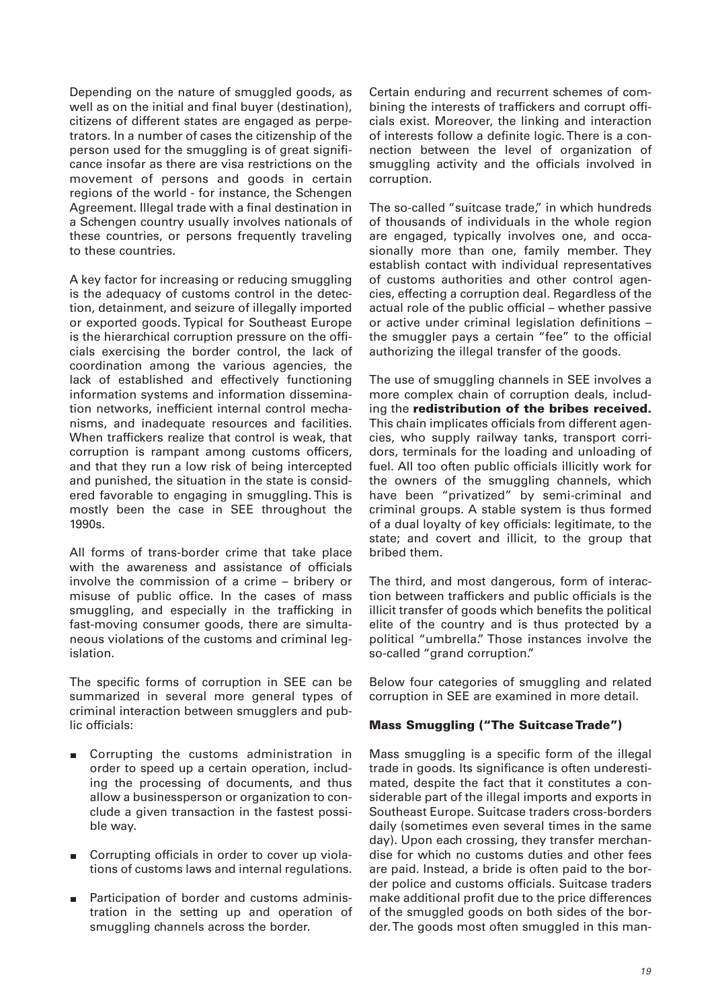Depending on the nature of smuggled goods, as well as on the initial and final buyer (destination), citizens of different states are engaged as perpetrators. In a number of cases the citizenship of the person used for the smuggling is of great significance insofar as there are visa restrictions on the movement of persons and goods in certain regions of the world - for instance, the Schengen Agreement. Illegal trade with a final destination in a Schengen country usually involves nationals of these countries, or persons frequently traveling to these countries.

A key factor for increasing or reducing smuggling is the adequacy of customs control in the detection, detainment, and seizure of illegally imported or exported goods. Typical for Southeast Europe is the hierarchical corruption pressure on the officials exercising the border control, the lack of coordination among the various agencies, the lack of established and effectively functioning information systems and information dissemination networks, inefficient internal control mechanisms, and inadequate resources and facilities. When traffickers realize that control is weak, that corruption is rampant among customs officers, and that they run a low risk of being intercepted and punished, the situation in the state is considered favorable to engaging in smuggling. This is mostly been the case in SEE throughout the 1990s.

All forms of trans-border crime that take place with the awareness and assistance of officials involve the commission of a crime – bribery or misuse of public office. In the cases of mass smuggling, and especially in the trafficking in fast-moving consumer goods, there are simultaneous violations of the customs and criminal legislation.

The specific forms of corruption in SEE can be summarized in several more general types of criminal interaction between smugglers and public officials:

- m. Corrupting the customs administration in order to speed up a certain operation, including the processing of documents, and thus allow a businessperson or organization to conclude a given transaction in the fastest possible way.
- Corrupting officials in order to cover up violations of customs laws and internal regulations.
- Participation of border and customs administration in the setting up and operation of smuggling channels across the border.

Certain enduring and recurrent schemes of combining the interests of traffickers and corrupt officials exist. Moreover, the linking and interaction of interests follow a definite logic. There is a connection between the level of organization of smuggling activity and the officials involved in corruption.

The so-called "suitcase trade," in which hundreds of thousands of individuals in the whole region are engaged, typically involves one, and occasionally more than one, family member. They establish contact with individual representatives of customs authorities and other control agencies, effecting a corruption deal. Regardless of the actual role of the public official – whether passive or active under criminal legislation definitions – the smuggler pays a certain "fee" to the official authorizing the illegal transfer of the goods.

The use of smuggling channels in SEE involves a more complex chain of corruption deals, including the **redistribution of the bribes received.** This chain implicates officials from different agencies, who supply railway tanks, transport corridors, terminals for the loading and unloading of fuel. All too often public officials illicitly work for the owners of the smuggling channels, which have been "privatized" by semi-criminal and criminal groups. A stable system is thus formed of a dual loyalty of key officials: legitimate, to the state; and covert and illicit, to the group that bribed them.

The third, and most dangerous, form of interaction between traffickers and public officials is the illicit transfer of goods which benefits the political elite of the country and is thus protected by a political "umbrella." Those instances involve the so-called "grand corruption."

Below four categories of smuggling and related corruption in SEE are examined in more detail.

# **Mass Smuggling ("The Suitcase Trade")**

Mass smuggling is a specific form of the illegal trade in goods. Its significance is often underestimated, despite the fact that it constitutes a considerable part of the illegal imports and exports in Southeast Europe. Suitcase traders cross-borders daily (sometimes even several times in the same day). Upon each crossing, they transfer merchandise for which no customs duties and other fees are paid. Instead, a bride is often paid to the border police and customs officials. Suitcase traders make additional profit due to the price differences of the smuggled goods on both sides of the border. The goods most often smuggled in this man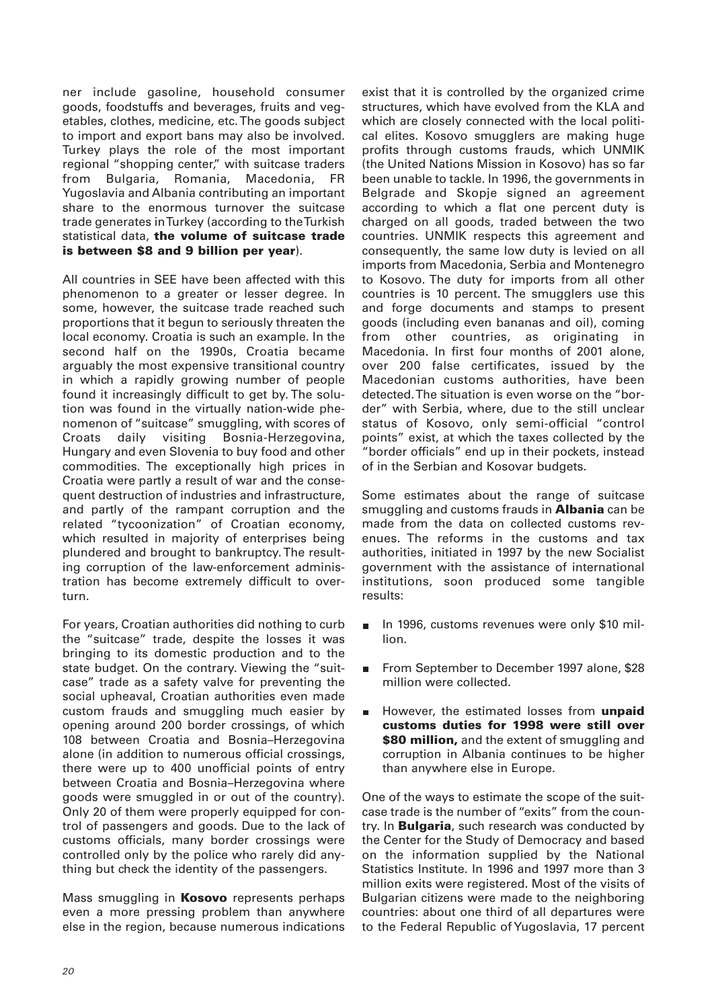ner include gasoline, household consumer goods, foodstuffs and beverages, fruits and vegetables, clothes, medicine, etc. The goods subject to import and export bans may also be involved. Turkey plays the role of the most important regional "shopping center," with suitcase traders from Bulgaria, Romania, Macedonia, FR Yugoslavia and Albania contributing an important share to the enormous turnover the suitcase trade generates in Turkey (according to the Turkish statistical data, **the volume of suitcase trade is between \$8 and 9 billion per year**).

All countries in SEE have been affected with this phenomenon to a greater or lesser degree. In some, however, the suitcase trade reached such proportions that it begun to seriously threaten the local economy. Croatia is such an example. In the second half on the 1990s, Croatia became arguably the most expensive transitional country in which a rapidly growing number of people found it increasingly difficult to get by. The solution was found in the virtually nation-wide phenomenon of "suitcase" smuggling, with scores of Croats daily visiting Bosnia-Herzegovina, Hungary and even Slovenia to buy food and other commodities. The exceptionally high prices in Croatia were partly a result of war and the consequent destruction of industries and infrastructure, and partly of the rampant corruption and the related "tycoonization" of Croatian economy, which resulted in majority of enterprises being plundered and brought to bankruptcy. The resulting corruption of the law-enforcement administration has become extremely difficult to overturn.

For years, Croatian authorities did nothing to curb the "suitcase" trade, despite the losses it was bringing to its domestic production and to the state budget. On the contrary. Viewing the "suitcase" trade as a safety valve for preventing the social upheaval, Croatian authorities even made custom frauds and smuggling much easier by opening around 200 border crossings, of which 108 between Croatia and Bosnia–Herzegovina alone (in addition to numerous official crossings, there were up to 400 unofficial points of entry between Croatia and Bosnia–Herzegovina where goods were smuggled in or out of the country). Only 20 of them were properly equipped for control of passengers and goods. Due to the lack of customs officials, many border crossings were controlled only by the police who rarely did anything but check the identity of the passengers.

Mass smuggling in **Kosovo** represents perhaps even a more pressing problem than anywhere else in the region, because numerous indications exist that it is controlled by the organized crime structures, which have evolved from the KLA and which are closely connected with the local political elites. Kosovo smugglers are making huge profits through customs frauds, which UNMIK (the United Nations Mission in Kosovo) has so far been unable to tackle. In 1996, the governments in Belgrade and Skopje signed an agreement according to which a flat one percent duty is charged on all goods, traded between the two countries. UNMIK respects this agreement and consequently, the same low duty is levied on all imports from Macedonia, Serbia and Montenegro to Kosovo. The duty for imports from all other countries is 10 percent. The smugglers use this and forge documents and stamps to present goods (including even bananas and oil), coming from other countries, as originating in Macedonia. In first four months of 2001 alone, over 200 false certificates, issued by the Macedonian customs authorities, have been detected. The situation is even worse on the "border" with Serbia, where, due to the still unclear status of Kosovo, only semi-official "control points" exist, at which the taxes collected by the "border officials" end up in their pockets, instead of in the Serbian and Kosovar budgets.

Some estimates about the range of suitcase smuggling and customs frauds in **Albania** can be made from the data on collected customs revenues. The reforms in the customs and tax authorities, initiated in 1997 by the new Socialist government with the assistance of international institutions, soon produced some tangible results:

- In 1996, customs revenues were only \$10 mil- $\blacksquare$ lion.
- From September to December 1997 alone, \$28  $\blacksquare$ million were collected.
- However, the estimated losses from **unpaid customs duties for 1998 were still over \$80 million,** and the extent of smuggling and corruption in Albania continues to be higher than anywhere else in Europe.

One of the ways to estimate the scope of the suitcase trade is the number of "exits" from the country. In **Bulgaria**, such research was conducted by the Center for the Study of Democracy and based on the information supplied by the National Statistics Institute. In 1996 and 1997 more than 3 million exits were registered. Most of the visits of Bulgarian citizens were made to the neighboring countries: about one third of all departures were to the Federal Republic of Yugoslavia, 17 percent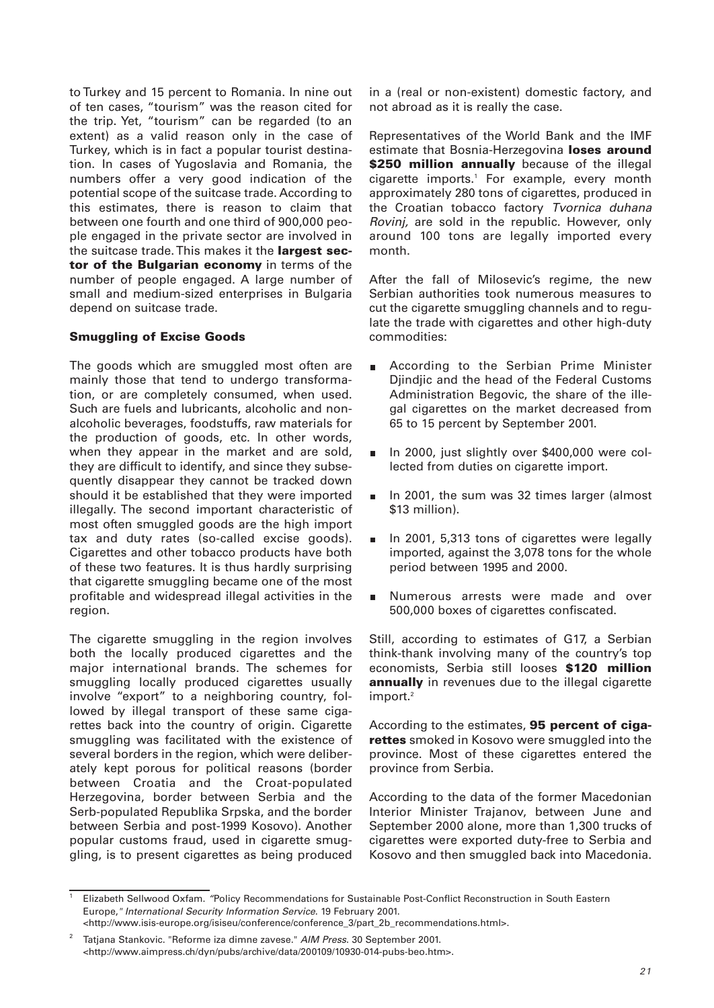to Turkey and 15 percent to Romania. In nine out of ten cases, "tourism" was the reason cited for the trip. Yet, "tourism" can be regarded (to an extent) as a valid reason only in the case of Turkey, which is in fact a popular tourist destination. In cases of Yugoslavia and Romania, the numbers offer a very good indication of the potential scope of the suitcase trade. According to this estimates, there is reason to claim that between one fourth and one third of 900,000 people engaged in the private sector are involved in the suitcase trade. This makes it the **largest sector of the Bulgarian economy** in terms of the number of people engaged. A large number of small and medium-sized enterprises in Bulgaria depend on suitcase trade.

#### **Smuggling of Excise Goods**

The goods which are smuggled most often are mainly those that tend to undergo transformation, or are completely consumed, when used. Such are fuels and lubricants, alcoholic and nonalcoholic beverages, foodstuffs, raw materials for the production of goods, etc. In other words, when they appear in the market and are sold, they are difficult to identify, and since they subsequently disappear they cannot be tracked down should it be established that they were imported illegally. The second important characteristic of most often smuggled goods are the high import tax and duty rates (so-called excise goods). Cigarettes and other tobacco products have both of these two features. It is thus hardly surprising that cigarette smuggling became one of the most profitable and widespread illegal activities in the region.

The cigarette smuggling in the region involves both the locally produced cigarettes and the major international brands. The schemes for smuggling locally produced cigarettes usually involve "export" to a neighboring country, followed by illegal transport of these same cigarettes back into the country of origin. Cigarette smuggling was facilitated with the existence of several borders in the region, which were deliberately kept porous for political reasons (border between Croatia and the Croat-populated Herzegovina, border between Serbia and the Serb-populated Republika Srpska, and the border between Serbia and post-1999 Kosovo). Another popular customs fraud, used in cigarette smuggling, is to present cigarettes as being produced

in a (real or non-existent) domestic factory, and not abroad as it is really the case.

Representatives of the World Bank and the IMF estimate that Bosnia-Herzegovina **loses around \$250 million annually** because of the illegal cigarette imports.<sup>1</sup> For example, every month approximately 280 tons of cigarettes, produced in the Croatian tobacco factory Tvornica duhana Rovinj, are sold in the republic. However, only around 100 tons are legally imported every month.

After the fall of Milosevic's regime, the new Serbian authorities took numerous measures to cut the cigarette smuggling channels and to regulate the trade with cigarettes and other high-duty commodities:

- $\blacksquare$ According to the Serbian Prime Minister Djindjic and the head of the Federal Customs Administration Begovic, the share of the illegal cigarettes on the market decreased from 65 to 15 percent by September 2001.
- In 2000, just slightly over \$400,000 were collected from duties on cigarette import.
- In 2001, the sum was 32 times larger (almost \$13 million).
- In 2001, 5,313 tons of cigarettes were legally  $\blacksquare$ imported, against the 3,078 tons for the whole period between 1995 and 2000.
- Numerous arrests were made and over  $\blacksquare$ 500,000 boxes of cigarettes confiscated.

Still, according to estimates of G17, a Serbian think-thank involving many of the country's top economists, Serbia still looses **\$120 million annually** in revenues due to the illegal cigarette import.<sup>2</sup>

According to the estimates, **95 percent of cigarettes** smoked in Kosovo were smuggled into the province. Most of these cigarettes entered the province from Serbia.

According to the data of the former Macedonian Interior Minister Trajanov, between June and September 2000 alone, more than 1,300 trucks of cigarettes were exported duty-free to Serbia and Kosovo and then smuggled back into Macedonia.

<sup>1</sup> Elizabeth Sellwood Oxfam. "Policy Recommendations for Sustainable Post-Conflict Reconstruction in South Eastern Europe," International Security Information Service. 19 February 2001. <http://www.isis-europe.org/isiseu/conference/conference\_3/part\_2b\_recommendations.html>.

Tatjana Stankovic. "Reforme iza dimne zavese." AIM Press. 30 September 2001. <http://www.aimpress.ch/dyn/pubs/archive/data/200109/10930-014-pubs-beo.htm>.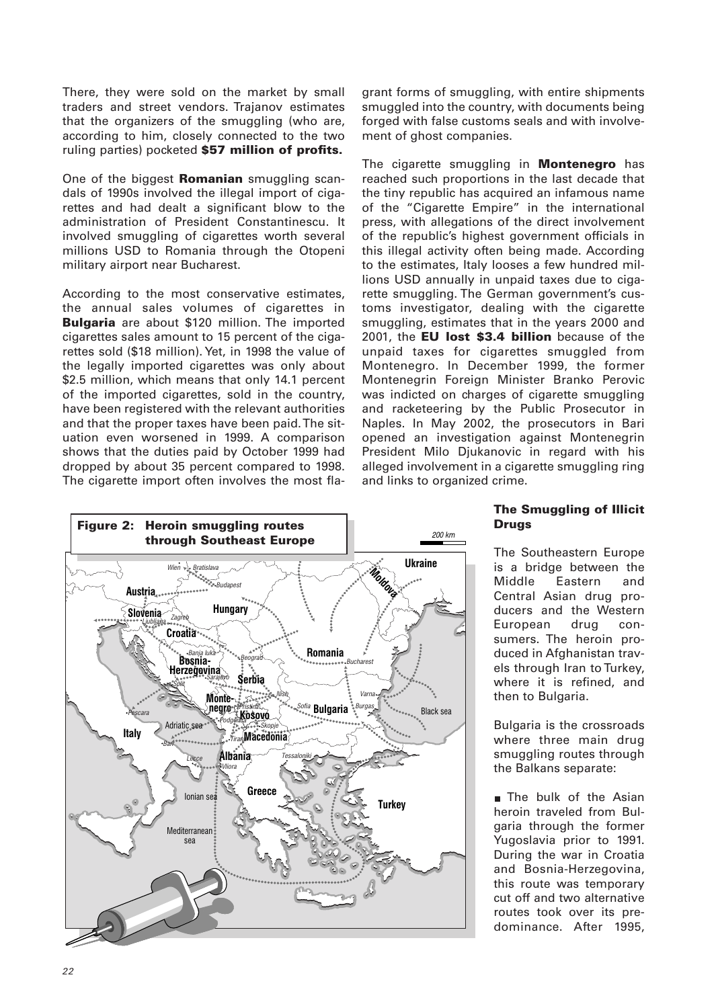There, they were sold on the market by small traders and street vendors. Trajanov estimates that the organizers of the smuggling (who are, according to him, closely connected to the two ruling parties) pocketed **\$57 million of profits.**

One of the biggest **Romanian** smuggling scandals of 1990s involved the illegal import of cigarettes and had dealt a significant blow to the administration of President Constantinescu. It involved smuggling of cigarettes worth several millions USD to Romania through the Otopeni military airport near Bucharest.

According to the most conservative estimates, the annual sales volumes of cigarettes in **Bulgaria** are about \$120 million. The imported cigarettes sales amount to 15 percent of the cigarettes sold (\$18 million). Yet, in 1998 the value of the legally imported cigarettes was only about \$2.5 million, which means that only 14.1 percent of the imported cigarettes, sold in the country, have been registered with the relevant authorities and that the proper taxes have been paid. The situation even worsened in 1999. A comparison shows that the duties paid by October 1999 had dropped by about 35 percent compared to 1998. The cigarette import often involves the most flagrant forms of smuggling, with entire shipments smuggled into the country, with documents being forged with false customs seals and with involvement of ghost companies.

The cigarette smuggling in **Montenegro** has reached such proportions in the last decade that the tiny republic has acquired an infamous name of the "Cigarette Empire" in the international press, with allegations of the direct involvement of the republic's highest government officials in this illegal activity often being made. According to the estimates, Italy looses a few hundred millions USD annually in unpaid taxes due to cigarette smuggling. The German government's customs investigator, dealing with the cigarette smuggling, estimates that in the years 2000 and 2001, the **EU lost \$3.4 billion** because of the unpaid taxes for cigarettes smuggled from Montenegro. In December 1999, the former Montenegrin Foreign Minister Branko Perovic was indicted on charges of cigarette smuggling and racketeering by the Public Prosecutor in Naples. In May 2002, the prosecutors in Bari opened an investigation against Montenegrin President Milo Djukanovic in regard with his alleged involvement in a cigarette smuggling ring and links to organized crime.



# **The Smuggling of Illicit Drugs**

The Southeastern Europe is a bridge between the Middle Eastern and Central Asian drug producers and the Western European drug consumers. The heroin produced in Afghanistan travels through Iran to Turkey, where it is refined, and then to Bulgaria.

Bulgaria is the crossroads where three main drug smuggling routes through the Balkans separate:

**The bulk of the Asian** heroin traveled from Bulgaria through the former Yugoslavia prior to 1991. During the war in Croatia and Bosnia-Herzegovina, this route was temporary cut off and two alternative routes took over its predominance. After 1995,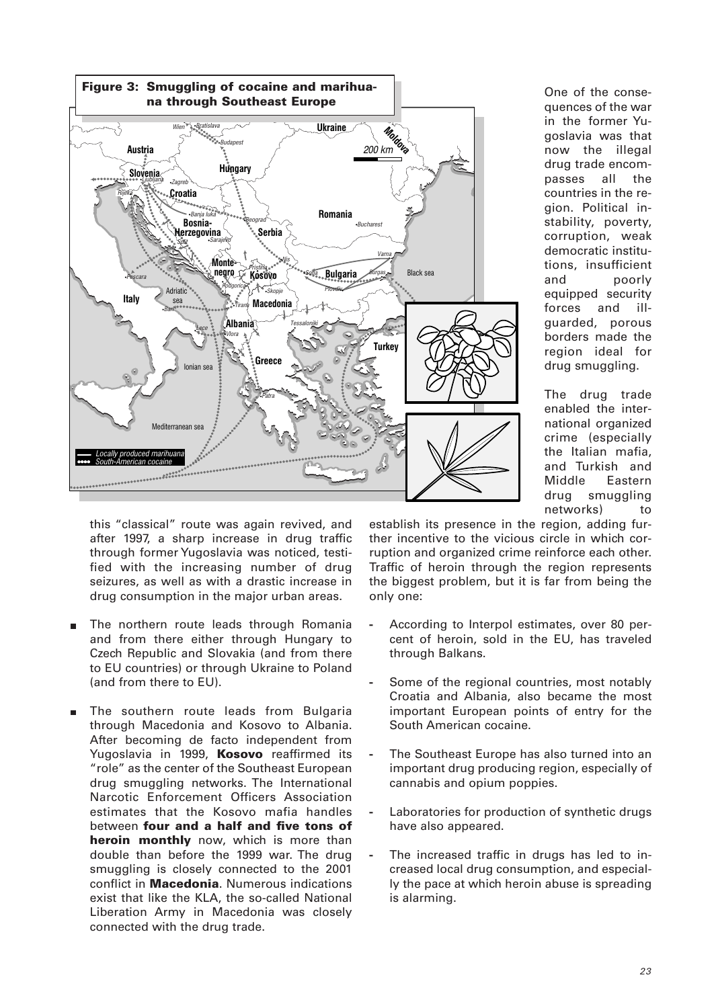

One of the consequences of the war in the former Yugoslavia was that now the illegal drug trade encompasses all the countries in the region. Political instability, poverty, corruption, weak democratic institutions, insufficient and poorly equipped security forces and illguarded, porous borders made the region ideal for drug smuggling.

The drug trade enabled the international organized crime (especially the Italian mafia, and Turkish and Middle Eastern drug smuggling networks) to

this "classical" route was again revived, and after 1997, a sharp increase in drug traffic through former Yugoslavia was noticed, testified with the increasing number of drug seizures, as well as with a drastic increase in drug consumption in the major urban areas.

- $\blacksquare$ The northern route leads through Romania and from there either through Hungary to Czech Republic and Slovakia (and from there to EU countries) or through Ukraine to Poland (and from there to EU).
- The southern route leads from Bulgaria through Macedonia and Kosovo to Albania. After becoming de facto independent from Yugoslavia in 1999, **Kosovo** reaffirmed its "role" as the center of the Southeast European drug smuggling networks. The International Narcotic Enforcement Officers Association estimates that the Kosovo mafia handles between **four and a half and five tons of heroin monthly** now, which is more than double than before the 1999 war. The drug smuggling is closely connected to the 2001 conflict in **Macedonia**. Numerous indications exist that like the KLA, the so-called National Liberation Army in Macedonia was closely connected with the drug trade.

establish its presence in the region, adding further incentive to the vicious circle in which corruption and organized crime reinforce each other. Traffic of heroin through the region represents the biggest problem, but it is far from being the only one:

- **-** According to Interpol estimates, over 80 percent of heroin, sold in the EU, has traveled through Balkans.
- **-** Some of the regional countries, most notably Croatia and Albania, also became the most important European points of entry for the South American cocaine.
- **-** The Southeast Europe has also turned into an important drug producing region, especially of cannabis and opium poppies.
- **-** Laboratories for production of synthetic drugs have also appeared.
- The increased traffic in drugs has led to increased local drug consumption, and especially the pace at which heroin abuse is spreading is alarming.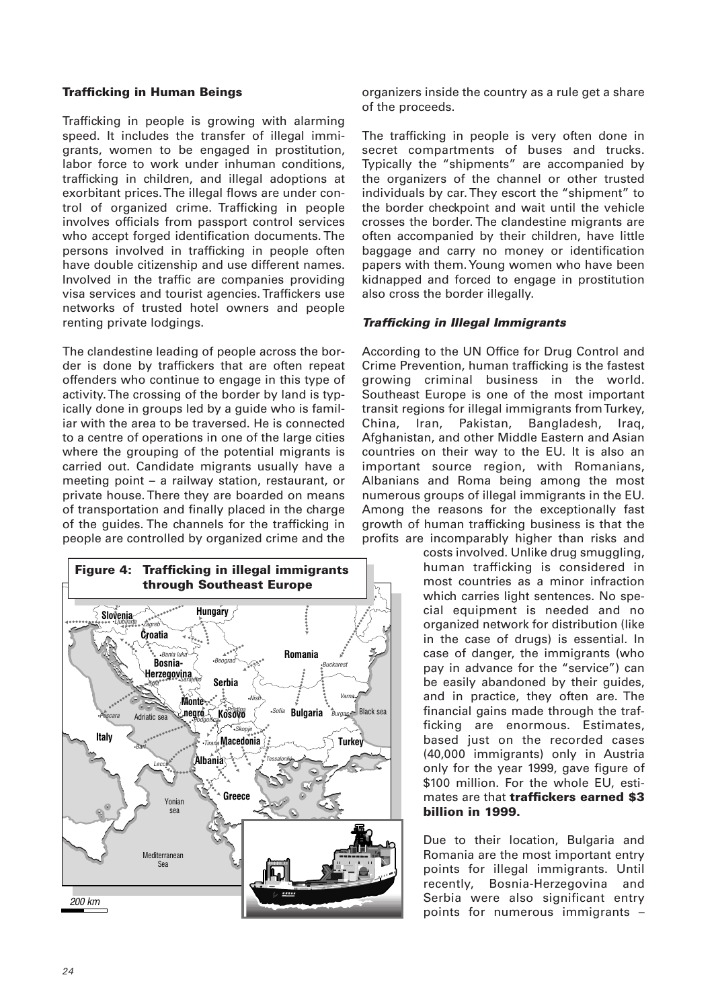## **Trafficking in Human Beings**

Trafficking in people is growing with alarming speed. It includes the transfer of illegal immigrants, women to be engaged in prostitution, labor force to work under inhuman conditions, trafficking in children, and illegal adoptions at exorbitant prices. The illegal flows are under control of organized crime. Trafficking in people involves officials from passport control services who accept forged identification documents. The persons involved in trafficking in people often have double citizenship and use different names. Involved in the traffic are companies providing visa services and tourist agencies. Traffickers use networks of trusted hotel owners and people renting private lodgings.

The clandestine leading of people across the border is done by traffickers that are often repeat offenders who continue to engage in this type of activity. The crossing of the border by land is typically done in groups led by a guide who is familiar with the area to be traversed. He is connected to a centre of operations in one of the large cities where the grouping of the potential migrants is carried out. Candidate migrants usually have a meeting point – a railway station, restaurant, or private house. There they are boarded on means of transportation and finally placed in the charge of the guides. The channels for the trafficking in people are controlled by organized crime and the



organizers inside the country as a rule get a share of the proceeds.

The trafficking in people is very often done in secret compartments of buses and trucks. Typically the "shipments" are accompanied by the organizers of the channel or other trusted individuals by car. They escort the "shipment" to the border checkpoint and wait until the vehicle crosses the border. The clandestine migrants are often accompanied by their children, have little baggage and carry no money or identification papers with them. Young women who have been kidnapped and forced to engage in prostitution also cross the border illegally.

#### *Trafficking in Illegal Immigrants*

According to the UN Office for Drug Control and Crime Prevention, human trafficking is the fastest growing criminal business in the world. Southeast Europe is one of the most important transit regions for illegal immigrants from Turkey, China, Iran, Pakistan, Bangladesh, Iraq, Afghanistan, and other Middle Eastern and Asian countries on their way to the EU. It is also an important source region, with Romanians, Albanians and Roma being among the most numerous groups of illegal immigrants in the EU. Among the reasons for the exceptionally fast growth of human trafficking business is that the profits are incomparably higher than risks and

> costs involved. Unlike drug smuggling, human trafficking is considered in most countries as a minor infraction which carries light sentences. No special equipment is needed and no organized network for distribution (like in the case of drugs) is essential. In case of danger, the immigrants (who pay in advance for the "service") can be easily abandoned by their guides, and in practice, they often are. The financial gains made through the trafficking are enormous. Estimates, based just on the recorded cases (40,000 immigrants) only in Austria only for the year 1999, gave figure of \$100 million. For the whole EU, estimates are that **traffickers earned \$3 billion in 1999.**

> Due to their location, Bulgaria and Romania are the most important entry points for illegal immigrants. Until recently, Bosnia-Herzegovina and Serbia were also significant entry points for numerous immigrants –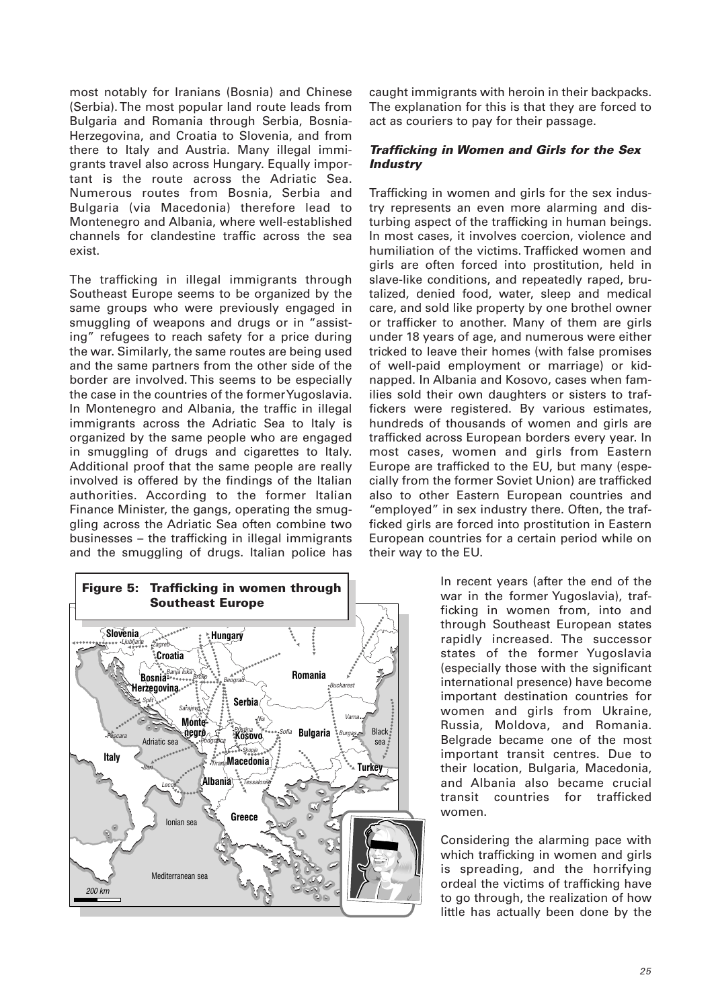most notably for Iranians (Bosnia) and Chinese (Serbia). The most popular land route leads from Bulgaria and Romania through Serbia, Bosnia-Herzegovina, and Croatia to Slovenia, and from there to Italy and Austria. Many illegal immigrants travel also across Hungary. Equally important is the route across the Adriatic Sea. Numerous routes from Bosnia, Serbia and Bulgaria (via Macedonia) therefore lead to Montenegro and Albania, where well-established channels for clandestine traffic across the sea exist.

The trafficking in illegal immigrants through Southeast Europe seems to be organized by the same groups who were previously engaged in smuggling of weapons and drugs or in "assisting" refugees to reach safety for a price during the war. Similarly, the same routes are being used and the same partners from the other side of the border are involved. This seems to be especially the case in the countries of the former Yugoslavia. In Montenegro and Albania, the traffic in illegal immigrants across the Adriatic Sea to Italy is organized by the same people who are engaged in smuggling of drugs and cigarettes to Italy. Additional proof that the same people are really involved is offered by the findings of the Italian authorities. According to the former Italian Finance Minister, the gangs, operating the smuggling across the Adriatic Sea often combine two businesses – the trafficking in illegal immigrants and the smuggling of drugs. Italian police has



caught immigrants with heroin in their backpacks. The explanation for this is that they are forced to act as couriers to pay for their passage.

# *Trafficking in Women and Girls for the Sex Industry*

Trafficking in women and girls for the sex industry represents an even more alarming and disturbing aspect of the trafficking in human beings. In most cases, it involves coercion, violence and humiliation of the victims. Trafficked women and girls are often forced into prostitution, held in slave-like conditions, and repeatedly raped, brutalized, denied food, water, sleep and medical care, and sold like property by one brothel owner or trafficker to another. Many of them are girls under 18 years of age, and numerous were either tricked to leave their homes (with false promises of well-paid employment or marriage) or kidnapped. In Albania and Kosovo, cases when families sold their own daughters or sisters to traffickers were registered. By various estimates, hundreds of thousands of women and girls are trafficked across European borders every year. In most cases, women and girls from Eastern Europe are trafficked to the EU, but many (especially from the former Soviet Union) are trafficked also to other Eastern European countries and "employed" in sex industry there. Often, the trafficked girls are forced into prostitution in Eastern European countries for a certain period while on their way to the EU.

> In recent years (after the end of the war in the former Yugoslavia), trafficking in women from, into and through Southeast European states rapidly increased. The successor states of the former Yugoslavia (especially those with the significant international presence) have become important destination countries for women and girls from Ukraine, Russia, Moldova, and Romania. Belgrade became one of the most important transit centres. Due to their location, Bulgaria, Macedonia, and Albania also became crucial transit countries for trafficked women.

Considering the alarming pace with which trafficking in women and girls is spreading, and the horrifying ordeal the victims of trafficking have to go through, the realization of how little has actually been done by the